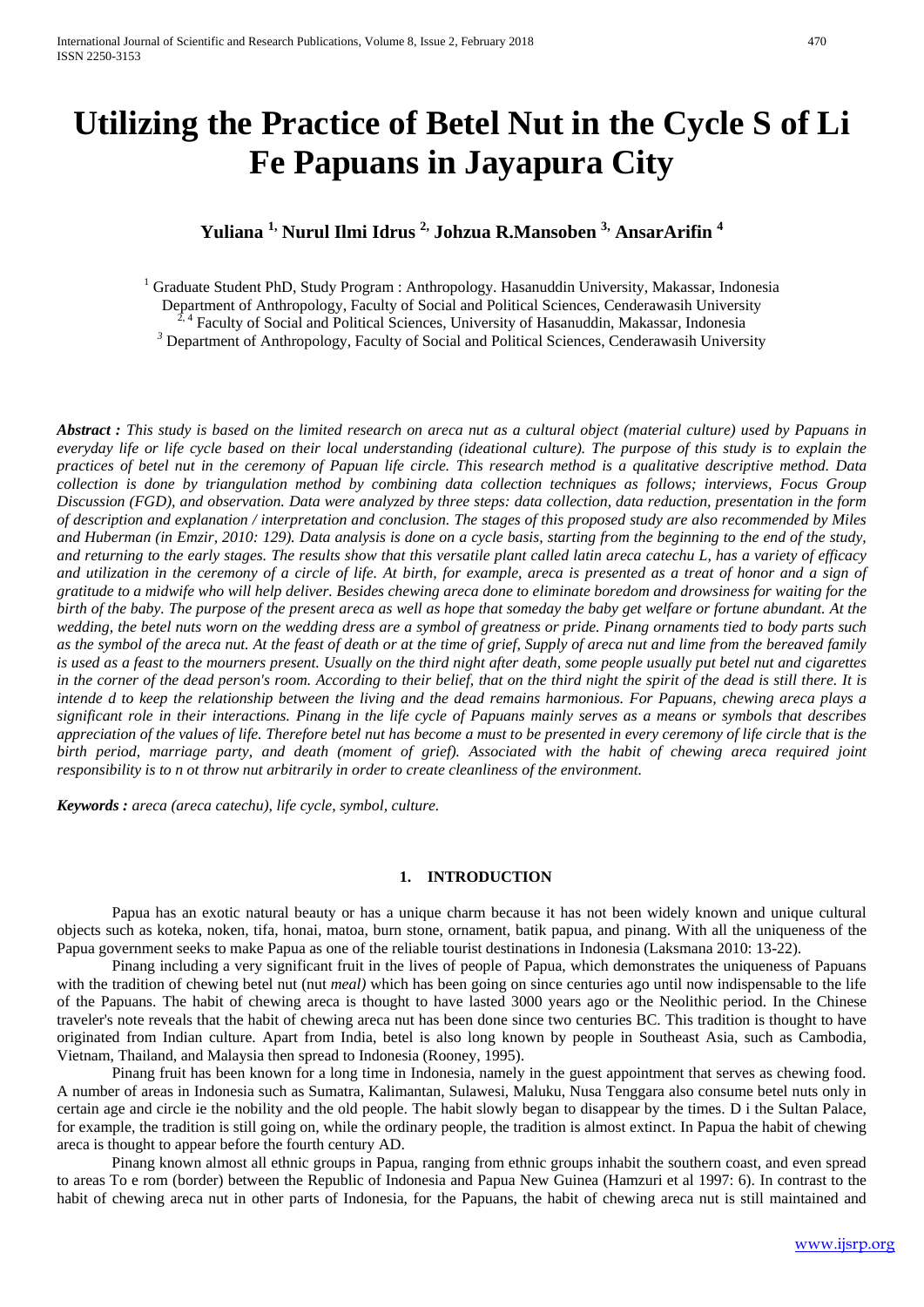# **Utilizing the Practice of Betel Nut in the Cycle S of Li Fe Papuans in Jayapura City**

# **Yuliana 1, Nurul Ilmi Idrus 2, Johzua R.Mansoben 3, AnsarArifin <sup>4</sup>**

<sup>1</sup> Graduate Student PhD, Study Program : Anthropology. Hasanuddin University, Makassar, Indonesia Department of Anthropology, Faculty of Social and Political Sciences, Cenderawasih University  $2, 4$  Faculty of Social and Political Sciences, University of Hasanuddin, Makassar, Indonesia *3* Department of Anthropology, Faculty of Social and Political Sciences, Cenderawasih University

*Abstract : This study is based on the limited research on areca nut as a cultural object (material culture) used by Papuans in everyday life or life cycle based on their local understanding (ideational culture). The purpose of this study is to explain the practices of betel nut in the ceremony of Papuan life circle. This research method is a qualitative descriptive method. Data collection is done by triangulation method by combining data collection techniques as follows; interviews, Focus Group Discussion (FGD), and observation. Data were analyzed by three steps: data collection, data reduction, presentation in the form of description and explanation / interpretation and conclusion. The stages of this proposed study are also recommended by Miles and Huberman (in Emzir, 2010: 129). Data analysis is done on a cycle basis, starting from the beginning to the end of the study, and returning to the early stages. The results show that this versatile plant called latin areca catechu L, has a variety of efficacy and utilization in the ceremony of a circle of life. At birth, for example, areca is presented as a treat of honor and a sign of gratitude to a midwife who will help deliver. Besides chewing areca done to eliminate boredom and drowsiness for waiting for the birth of the baby. The purpose of the present areca as well as hope that someday the baby get welfare or fortune abundant. At the wedding, the betel nuts worn on the wedding dress are a symbol of greatness or pride. Pinang ornaments tied to body parts such as the symbol of the areca nut. At the feast of death or at the time of grief, Supply of areca nut and lime from the bereaved family is used as a feast to the mourners present. Usually on the third night after death, some people usually put betel nut and cigarettes in the corner of the dead person's room. According to their belief, that on the third night the spirit of the dead is still there. It is intende d to keep the relationship between the living and the dead remains harmonious. For Papuans, chewing areca plays a significant role in their interactions. Pinang in the life cycle of Papuans mainly serves as a means or symbols that describes appreciation of the values of life. Therefore betel nut has become a must to be presented in every ceremony of life circle that is the birth period, marriage party, and death (moment of grief). Associated with the habit of chewing areca required joint responsibility is to n ot throw nut arbitrarily in order to create cleanliness of the environment.*

*Keywords : areca (areca catechu), life cycle, symbol, culture.*

### **1. INTRODUCTION**

Papua has an exotic natural beauty or has a unique charm because it has not been widely known and unique cultural objects such as koteka, noken, tifa, honai, matoa, burn stone, ornament, batik papua, and pinang. With all the uniqueness of the Papua government seeks to make Papua as one of the reliable tourist destinations in Indonesia (Laksmana 2010: 13-22).

Pinang including a very significant fruit in the lives of people of Papua, which demonstrates the uniqueness of Papuans with the tradition of chewing betel nut (nut *meal*) which has been going on since centuries ago until now indispensable to the life of the Papuans. The habit of chewing areca is thought to have lasted 3000 years ago or the Neolithic period. In the Chinese traveler's note reveals that the habit of chewing areca nut has been done since two centuries BC. This tradition is thought to have originated from Indian culture. Apart from India, betel is also long known by people in Southeast Asia, such as Cambodia, Vietnam, Thailand, and Malaysia then spread to Indonesia (Rooney, 1995).

Pinang fruit has been known for a long time in Indonesia, namely in the guest appointment that serves as chewing food. A number of areas in Indonesia such as Sumatra, Kalimantan, Sulawesi, Maluku, Nusa Tenggara also consume betel nuts only in certain age and circle ie the nobility and the old people. The habit slowly began to disappear by the times. D i the Sultan Palace, for example, the tradition is still going on, while the ordinary people, the tradition is almost extinct. In Papua the habit of chewing areca is thought to appear before the fourth century AD.

Pinang known almost all ethnic groups in Papua, ranging from ethnic groups inhabit the southern coast, and even spread to areas To e rom (border) between the Republic of Indonesia and Papua New Guinea (Hamzuri et al 1997: 6). In contrast to the habit of chewing areca nut in other parts of Indonesia, for the Papuans, the habit of chewing areca nut is still maintained and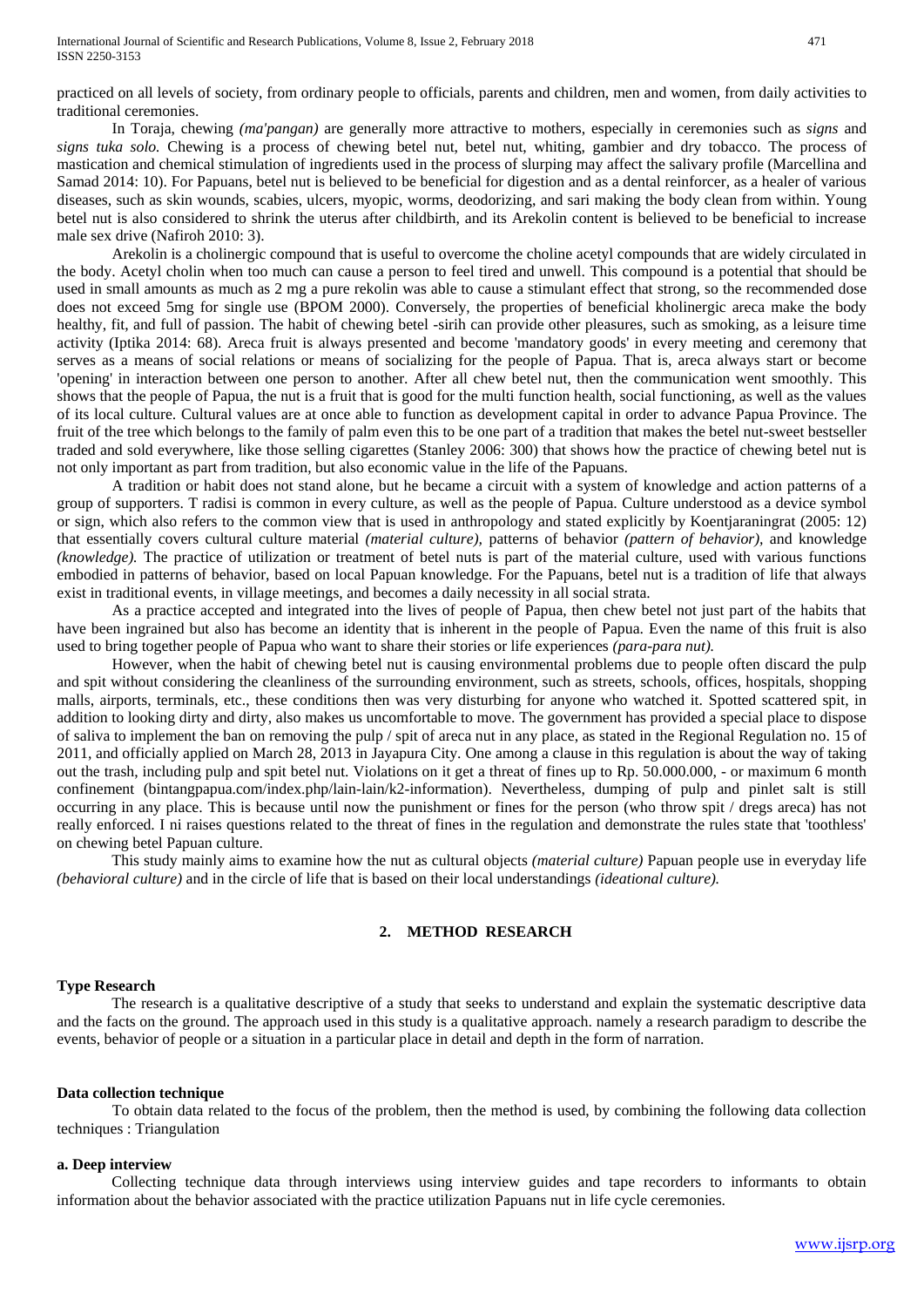practiced on all levels of society, from ordinary people to officials, parents and children, men and women, from daily activities to traditional ceremonies.

In Toraja, chewing *(ma'pangan)* are generally more attractive to mothers, especially in ceremonies such as *signs* and *signs tuka solo.* Chewing is a process of chewing betel nut, betel nut, whiting, gambier and dry tobacco. The process of mastication and chemical stimulation of ingredients used in the process of slurping may affect the salivary profile (Marcellina and Samad 2014: 10). For Papuans, betel nut is believed to be beneficial for digestion and as a dental reinforcer, as a healer of various diseases, such as skin wounds, scabies, ulcers, myopic, worms, deodorizing, and sari making the body clean from within. Young betel nut is also considered to shrink the uterus after childbirth, and its Arekolin content is believed to be beneficial to increase male sex drive (Nafiroh 2010: 3).

Arekolin is a cholinergic compound that is useful to overcome the choline acetyl compounds that are widely circulated in the body. Acetyl cholin when too much can cause a person to feel tired and unwell. This compound is a potential that should be used in small amounts as much as 2 mg a pure rekolin was able to cause a stimulant effect that strong, so the recommended dose does not exceed 5mg for single use (BPOM 2000). Conversely, the properties of beneficial kholinergic areca make the body healthy, fit, and full of passion. The habit of chewing betel -sirih can provide other pleasures, such as smoking, as a leisure time activity (Iptika 2014: 68). Areca fruit is always presented and become 'mandatory goods' in every meeting and ceremony that serves as a means of social relations or means of socializing for the people of Papua. That is, areca always start or become 'opening' in interaction between one person to another. After all chew betel nut, then the communication went smoothly. This shows that the people of Papua, the nut is a fruit that is good for the multi function health, social functioning, as well as the values of its local culture. Cultural values are at once able to function as development capital in order to advance Papua Province. The fruit of the tree which belongs to the family of palm even this to be one part of a tradition that makes the betel nut-sweet bestseller traded and sold everywhere, like those selling cigarettes (Stanley 2006: 300) that shows how the practice of chewing betel nut is not only important as part from tradition, but also economic value in the life of the Papuans.

A tradition or habit does not stand alone, but he became a circuit with a system of knowledge and action patterns of a group of supporters. T radisi is common in every culture, as well as the people of Papua. Culture understood as a device symbol or sign, which also refers to the common view that is used in anthropology and stated explicitly by Koentjaraningrat (2005: 12) that essentially covers cultural culture material *(material culture),* patterns of behavior *(pattern of behavior),* and knowledge *(knowledge).* The practice of utilization or treatment of betel nuts is part of the material culture, used with various functions embodied in patterns of behavior, based on local Papuan knowledge. For the Papuans, betel nut is a tradition of life that always exist in traditional events, in village meetings, and becomes a daily necessity in all social strata.

As a practice accepted and integrated into the lives of people of Papua, then chew betel not just part of the habits that have been ingrained but also has become an identity that is inherent in the people of Papua. Even the name of this fruit is also used to bring together people of Papua who want to share their stories or life experiences *(para-para nut).*

However, when the habit of chewing betel nut is causing environmental problems due to people often discard the pulp and spit without considering the cleanliness of the surrounding environment, such as streets, schools, offices, hospitals, shopping malls, airports, terminals, etc., these conditions then was very disturbing for anyone who watched it. Spotted scattered spit, in addition to looking dirty and dirty, also makes us uncomfortable to move. The government has provided a special place to dispose of saliva to implement the ban on removing the pulp / spit of areca nut in any place, as stated in the Regional Regulation no. 15 of 2011, and officially applied on March 28, 2013 in Jayapura City. One among a clause in this regulation is about the way of taking out the trash, including pulp and spit betel nut. Violations on it get a threat of fines up to Rp. 50.000.000, - or maximum 6 month confinement (bintangpapua.com/index.php/lain-lain/k2-information). Nevertheless, dumping of pulp and pinlet salt is still occurring in any place. This is because until now the punishment or fines for the person (who throw spit / dregs areca) has not really enforced. I ni raises questions related to the threat of fines in the regulation and demonstrate the rules state that 'toothless' on chewing betel Papuan culture.

This study mainly aims to examine how the nut as cultural objects *(material culture)* Papuan people use in everyday life *(behavioral culture)* and in the circle of life that is based on their local understandings *(ideational culture).*

## **2. METHOD RESEARCH**

#### **Type Research**

The research is a qualitative descriptive of a study that seeks to understand and explain the systematic descriptive data and the facts on the ground. The approach used in this study is a qualitative approach. namely a research paradigm to describe the events, behavior of people or a situation in a particular place in detail and depth in the form of narration.

#### **Data collection technique**

 To obtain data related to the focus of the problem, then the method is used, by combining the following data collection techniques : Triangulation

#### **a. Deep interview**

Collecting technique data through interviews using interview guides and tape recorders to informants to obtain information about the behavior associated with the practice utilization Papuans nut in life cycle ceremonies.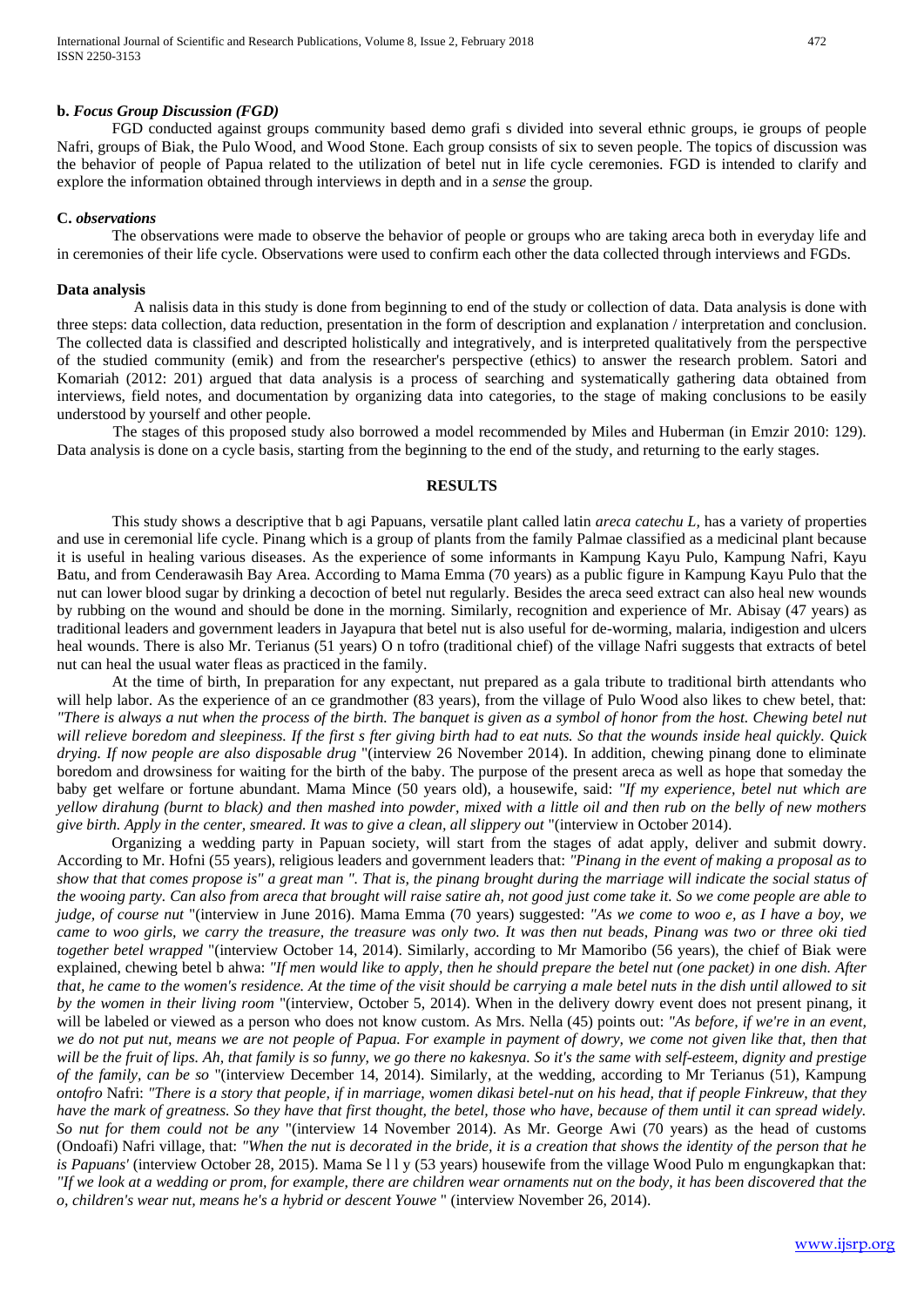#### **b.** *Focus Group Discussion (FGD)*

FGD conducted against groups community based demo grafi s divided into several ethnic groups, ie groups of people Nafri, groups of Biak, the Pulo Wood, and Wood Stone. Each group consists of six to seven people. The topics of discussion was the behavior of people of Papua related to the utilization of betel nut in life cycle ceremonies. FGD is intended to clarify and explore the information obtained through interviews in depth and in a *sense* the group.

#### **C.** *observations*

The observations were made to observe the behavior of people or groups who are taking areca both in everyday life and in ceremonies of their life cycle. Observations were used to confirm each other the data collected through interviews and FGDs.

#### **Data analysis**

A nalisis data in this study is done from beginning to end of the study or collection of data. Data analysis is done with three steps: data collection, data reduction, presentation in the form of description and explanation / interpretation and conclusion. The collected data is classified and descripted holistically and integratively, and is interpreted qualitatively from the perspective of the studied community (emik) and from the researcher's perspective (ethics) to answer the research problem. Satori and Komariah (2012: 201) argued that data analysis is a process of searching and systematically gathering data obtained from interviews, field notes, and documentation by organizing data into categories, to the stage of making conclusions to be easily understood by yourself and other people.

The stages of this proposed study also borrowed a model recommended by Miles and Huberman (in Emzir 2010: 129). Data analysis is done on a cycle basis, starting from the beginning to the end of the study, and returning to the early stages.

# **RESULTS**

This study shows a descriptive that b agi Papuans, versatile plant called latin *areca catechu L,* has a variety of properties and use in ceremonial life cycle. Pinang which is a group of plants from the family Palmae classified as a medicinal plant because it is useful in healing various diseases. As the experience of some informants in Kampung Kayu Pulo, Kampung Nafri, Kayu Batu, and from Cenderawasih Bay Area. According to Mama Emma (70 years) as a public figure in Kampung Kayu Pulo that the nut can lower blood sugar by drinking a decoction of betel nut regularly. Besides the areca seed extract can also heal new wounds by rubbing on the wound and should be done in the morning. Similarly, recognition and experience of Mr. Abisay (47 years) as traditional leaders and government leaders in Jayapura that betel nut is also useful for de-worming, malaria, indigestion and ulcers heal wounds. There is also Mr. Terianus (51 years) O n tofro (traditional chief) of the village Nafri suggests that extracts of betel nut can heal the usual water fleas as practiced in the family.

At the time of birth, In preparation for any expectant, nut prepared as a gala tribute to traditional birth attendants who will help labor. As the experience of an ce grandmother (83 years), from the village of Pulo Wood also likes to chew betel, that: *"There is always a nut when the process of the birth. The banquet is given as a symbol of honor from the host. Chewing betel nut will relieve boredom and sleepiness. If the first s fter giving birth had to eat nuts. So that the wounds inside heal quickly. Quick drying. If now people are also disposable drug* "(interview 26 November 2014). In addition, chewing pinang done to eliminate boredom and drowsiness for waiting for the birth of the baby. The purpose of the present areca as well as hope that someday the baby get welfare or fortune abundant. Mama Mince (50 years old), a housewife, said: *"If my experience, betel nut which are yellow dirahung (burnt to black) and then mashed into powder, mixed with a little oil and then rub on the belly of new mothers give birth. Apply in the center, smeared. It was to give a clean, all slippery out* "(interview in October 2014).

Organizing a wedding party in Papuan society, will start from the stages of adat apply, deliver and submit dowry. According to Mr. Hofni (55 years), religious leaders and government leaders that: *"Pinang in the event of making a proposal as to show that that comes propose is" a great man ". That is, the pinang brought during the marriage will indicate the social status of the wooing party. Can also from areca that brought will raise satire ah, not good just come take it. So we come people are able to judge, of course nut* "(interview in June 2016). Mama Emma (70 years) suggested: *"As we come to woo e, as I have a boy, we came to woo girls, we carry the treasure, the treasure was only two. It was then nut beads, Pinang was two or three oki tied together betel wrapped* "(interview October 14, 2014). Similarly, according to Mr Mamoribo (56 years), the chief of Biak were explained, chewing betel b ahwa: *"If men would like to apply, then he should prepare the betel nut (one packet) in one dish. After that, he came to the women's residence. At the time of the visit should be carrying a male betel nuts in the dish until allowed to sit by the women in their living room* "(interview, October 5, 2014). When in the delivery dowry event does not present pinang, it will be labeled or viewed as a person who does not know custom. As Mrs. Nella (45) points out: *"As before, if we're in an event, we do not put nut, means we are not people of Papua. For example in payment of dowry, we come not given like that, then that will be the fruit of lips. Ah, that family is so funny, we go there no kakesnya. So it's the same with self-esteem, dignity and prestige of the family, can be so* "(interview December 14, 2014). Similarly, at the wedding, according to Mr Terianus (51), Kampung *ontofro* Nafri: *"There is a story that people, if in marriage, women dikasi betel-nut on his head, that if people Finkreuw, that they have the mark of greatness. So they have that first thought, the betel, those who have, because of them until it can spread widely. So nut for them could not be any* "(interview 14 November 2014). As Mr. George Awi (70 years) as the head of customs (Ondoafi) Nafri village, that: *"When the nut is decorated in the bride, it is a creation that shows the identity of the person that he is Papuans'* (interview October 28, 2015). Mama Se l l y (53 years) housewife from the village Wood Pulo m engungkapkan that: *"If we look at a wedding or prom, for example, there are children wear ornaments nut on the body, it has been discovered that the o, children's wear nut, means he's a hybrid or descent Youwe* " (interview November 26, 2014).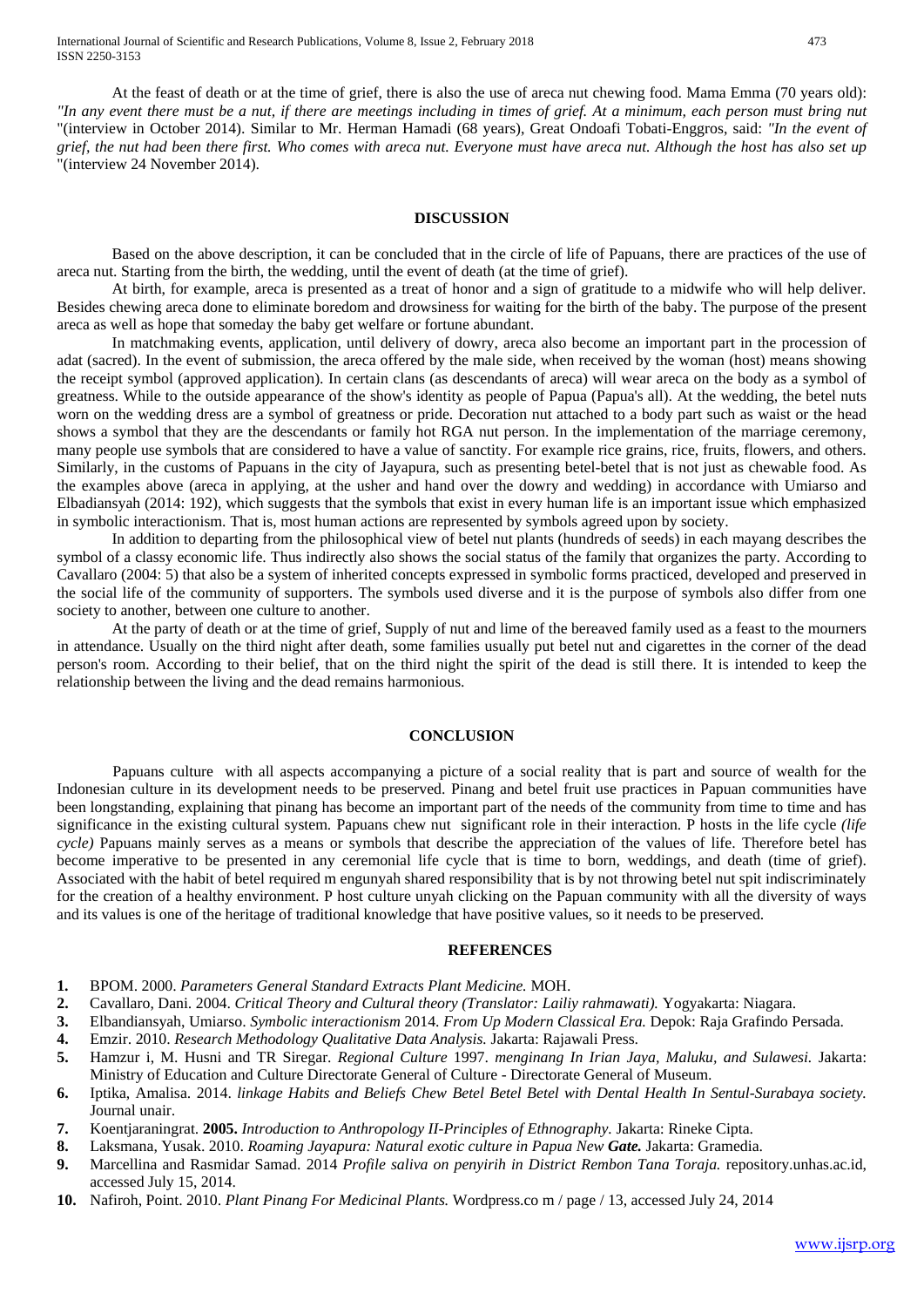At the feast of death or at the time of grief, there is also the use of areca nut chewing food. Mama Emma (70 years old): *"In any event there must be a nut, if there are meetings including in times of grief. At a minimum, each person must bring nut* "(interview in October 2014). Similar to Mr. Herman Hamadi (68 years), Great Ondoafi Tobati-Enggros, said: *"In the event of grief, the nut had been there first. Who comes with areca nut. Everyone must have areca nut. Although the host has also set up* "(interview 24 November 2014).

#### **DISCUSSION**

Based on the above description, it can be concluded that in the circle of life of Papuans, there are practices of the use of areca nut. Starting from the birth, the wedding, until the event of death (at the time of grief).

At birth, for example, areca is presented as a treat of honor and a sign of gratitude to a midwife who will help deliver. Besides chewing areca done to eliminate boredom and drowsiness for waiting for the birth of the baby. The purpose of the present areca as well as hope that someday the baby get welfare or fortune abundant.

In matchmaking events, application, until delivery of dowry, areca also become an important part in the procession of adat (sacred). In the event of submission, the areca offered by the male side, when received by the woman (host) means showing the receipt symbol (approved application). In certain clans (as descendants of areca) will wear areca on the body as a symbol of greatness. While to the outside appearance of the show's identity as people of Papua (Papua's all). At the wedding, the betel nuts worn on the wedding dress are a symbol of greatness or pride. Decoration nut attached to a body part such as waist or the head shows a symbol that they are the descendants or family hot RGA nut person. In the implementation of the marriage ceremony, many people use symbols that are considered to have a value of sanctity. For example rice grains, rice, fruits, flowers, and others. Similarly, in the customs of Papuans in the city of Jayapura, such as presenting betel-betel that is not just as chewable food. As the examples above (areca in applying, at the usher and hand over the dowry and wedding) in accordance with Umiarso and Elbadiansyah (2014: 192), which suggests that the symbols that exist in every human life is an important issue which emphasized in symbolic interactionism. That is, most human actions are represented by symbols agreed upon by society.

In addition to departing from the philosophical view of betel nut plants (hundreds of seeds) in each mayang describes the symbol of a classy economic life. Thus indirectly also shows the social status of the family that organizes the party. According to Cavallaro (2004: 5) that also be a system of inherited concepts expressed in symbolic forms practiced, developed and preserved in the social life of the community of supporters. The symbols used diverse and it is the purpose of symbols also differ from one society to another, between one culture to another.

At the party of death or at the time of grief, Supply of nut and lime of the bereaved family used as a feast to the mourners in attendance. Usually on the third night after death, some families usually put betel nut and cigarettes in the corner of the dead person's room. According to their belief, that on the third night the spirit of the dead is still there. It is intended to keep the relationship between the living and the dead remains harmonious.

#### **CONCLUSION**

Papuans culture with all aspects accompanying a picture of a social reality that is part and source of wealth for the Indonesian culture in its development needs to be preserved. Pinang and betel fruit use practices in Papuan communities have been longstanding, explaining that pinang has become an important part of the needs of the community from time to time and has significance in the existing cultural system. Papuans chew nut significant role in their interaction. P hosts in the life cycle *(life cycle*) Papuans mainly serves as a means or symbols that describe the appreciation of the values of life. Therefore betel has become imperative to be presented in any ceremonial life cycle that is time to born, weddings, and death (time of grief). Associated with the habit of betel required m engunyah shared responsibility that is by not throwing betel nut spit indiscriminately for the creation of a healthy environment. P host culture unyah clicking on the Papuan community with all the diversity of ways and its values is one of the heritage of traditional knowledge that have positive values, so it needs to be preserved.

#### **REFERENCES**

- **1.** BPOM. 2000. *Parameters General Standard Extracts Plant Medicine.* MOH.
- **2.** Cavallaro, Dani. 2004. *Critical Theory and Cultural theory (Translator: Lailiy rahmawati).* Yogyakarta: Niagara.
- **3.** Elbandiansyah, Umiarso. *Symbolic interactionism* 2014. *From Up Modern Classical Era.* Depok: Raja Grafindo Persada.
- **4.** Emzir. 2010. *Research Methodology Qualitative Data Analysis.* Jakarta: Rajawali Press.
- **5.** Hamzur i, M. Husni and TR Siregar. *Regional Culture* 1997. *menginang In Irian Jaya, Maluku, and Sulawesi.* Jakarta: Ministry of Education and Culture Directorate General of Culture - Directorate General of Museum.
- **6.** Iptika, Amalisa. 2014. *linkage Habits and Beliefs Chew Betel Betel Betel with Dental Health In Sentul-Surabaya society.* Journal unair.
- **7.** Koentjaraningrat. **2005.** *Introduction to Anthropology II-Principles of Ethnography.* Jakarta: Rineke Cipta.
- **8.** Laksmana, Yusak. 2010. *Roaming Jayapura: Natural exotic culture in Papua New Gate.* Jakarta: Gramedia.
- **9.** Marcellina and Rasmidar Samad. 2014 *Profile saliva on penyirih in District Rembon Tana Toraja.* repository.unhas.ac.id, accessed July 15, 2014.
- **10.** Nafiroh, Point. 2010. *Plant Pinang For Medicinal Plants.* Wordpress.co m / page / 13, accessed July 24, 2014